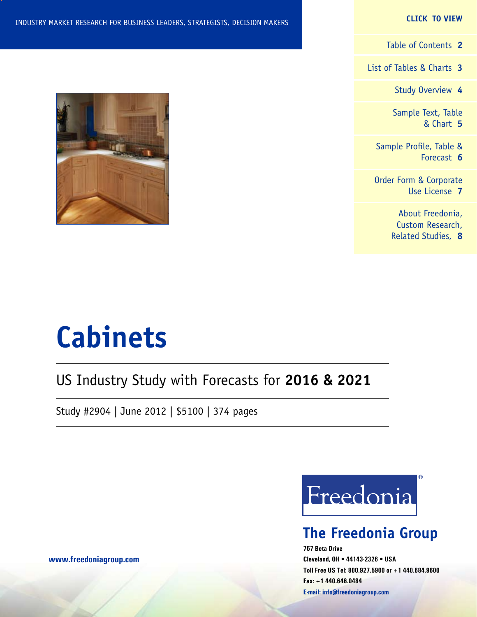#### **CLICK TO VIEW**

[Table of Contents](#page-1-0) **2**

[List of Tables & Charts](#page-2-0) **3**

[Study Overview](#page-3-0) **4**

[Sample Text, Table](#page-4-0) [& Chart](#page-4-0) **5**

[Sample Profile, Table &](#page-5-0) [Forecast](#page-5-0) **6**

[Order Form & Corporate](#page-6-0) [Use License](#page-6-0) **7**

> [About Freedonia,](#page-7-0) [Custom Research,](#page-7-0) [Related Studies,](#page-7-0) **8**



# **Cabinets**

## US Industry Study with Forecasts for **2016 & 2021**

Study #2904 | June 2012 | \$5100 | 374 pages



## **The Freedonia Group**

**767 Beta Drive Cleveland, OH • 44143-2326 • USA Toll Free US Tel: 800.927.5900 or +1 440.684.9600 Fax: +1 440.646.0484 E-mail: [info@freedoniagroup.com](mailto:info@freedoniagroup.com)**

**[www.freedoniagroup.com](http://www.freedoniagroup.com/Home.aspx?ReferrerId=FM-Bro)**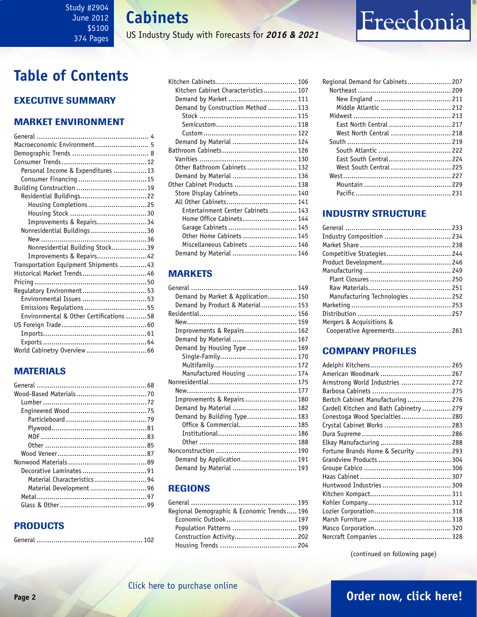### <span id="page-1-0"></span>Study #2904 June 2012 \$5100 374 Pages

**Cabinets**

US Industry Study with Forecasts for *2016 & 2021*

## **Table of Contents**

## Executive Summary

## Market EnvironmenT

| Macroeconomic Environment 5             |  |
|-----------------------------------------|--|
|                                         |  |
|                                         |  |
| Personal Income & Expenditures 13       |  |
| Consumer Financing  15                  |  |
|                                         |  |
| Residential Buildings22                 |  |
| Housing Completions 25                  |  |
|                                         |  |
| Improvements & Repairs34                |  |
| Nonresidential Buildings36              |  |
|                                         |  |
| Nonresidential Building Stock39         |  |
| Improvements & Repairs42                |  |
| Transportation Equipment Shipments 43   |  |
| Historical Market Trends46              |  |
|                                         |  |
| Regulatory Environment53                |  |
| Environmental Issues 53                 |  |
| Emissions Regulations 55                |  |
| Environmental & Other Certifications 58 |  |
|                                         |  |
|                                         |  |
|                                         |  |
|                                         |  |

## MATERIALS

| Material Characteristics 94 |  |
|-----------------------------|--|
| Material Development 96     |  |
|                             |  |
|                             |  |
|                             |  |

## PRODUCTS

|--|--|

| Kitchen Cabinet Characteristics 107 |
|-------------------------------------|
| Demand by Market  111               |
| Demand by Construction Method  113  |
|                                     |
|                                     |
|                                     |
| Demand by Material  124             |
|                                     |
|                                     |
| Other Bathroom Cabinets  132        |
| Demand by Material  136             |
| 0ther Cabinet Products  138         |
| Store Display Cabinets 140          |
| All Other Cabinets 141              |
| Entertainment Center Cabinets  143  |
| Home Office Cabinets 144            |
| Garage Cabinets  145                |
| Other Home Cabinets  145            |
| Miscellaneous Cabinets  146         |
| Demand by Material  146             |
|                                     |

## MARKETS

| Demand by Market & Application 150 |  |
|------------------------------------|--|
| Demand by Product & Material 153   |  |
|                                    |  |
|                                    |  |
| Improvements & Repairs 162         |  |
| Demand by Material  167            |  |
| Demand by Housing Type  169        |  |
|                                    |  |
|                                    |  |
| Manufactured Housing  174          |  |
|                                    |  |
|                                    |  |
| Improvements & Repairs 180         |  |
| Demand by Material  182            |  |
| Demand by Building Type 183        |  |
| Office & Commercial 185            |  |
|                                    |  |
|                                    |  |
|                                    |  |
| Demand by Application 191          |  |
| Demand by Material  193            |  |
|                                    |  |

## REGIONS

| Regional Demographic & Economic Trends 196 |  |
|--------------------------------------------|--|
|                                            |  |
| Population Patterns  199                   |  |
|                                            |  |
|                                            |  |

| Regional Demand for Cabinets 207 |  |
|----------------------------------|--|
|                                  |  |
|                                  |  |
| Middle Atlantic  212             |  |
|                                  |  |
| East North Central  217          |  |
| West North Central  218          |  |
|                                  |  |
| South Atlantic  222              |  |
| East South Central 224           |  |
| West South Central  225          |  |
|                                  |  |
|                                  |  |
|                                  |  |
|                                  |  |

Freedonia

## INDUSTRY STRUCTURE

| Industry Composition  234       |  |
|---------------------------------|--|
|                                 |  |
| Competitive Strategies 244      |  |
| Product Development 246         |  |
|                                 |  |
|                                 |  |
|                                 |  |
| Manufacturing Technologies  252 |  |
|                                 |  |
|                                 |  |
| Mergers & Acquisitions &        |  |
| Cooperative Agreements 261      |  |

## Company Profiles

| American Woodmark  267                  |  |
|-----------------------------------------|--|
| Armstrong World Industries  272         |  |
|                                         |  |
| Bertch Cabinet Manufacturing  276       |  |
| Cardell Kitchen and Bath Cabinetry  279 |  |
| Conestoga Wood Specialties 280          |  |
| Crystal Cabinet Works  283              |  |
|                                         |  |
|                                         |  |
| Fortune Brands Home & Security  293     |  |
|                                         |  |
|                                         |  |
|                                         |  |
| Huntwood Industries  309                |  |
|                                         |  |
|                                         |  |
|                                         |  |
|                                         |  |
|                                         |  |
|                                         |  |
|                                         |  |

(continued on following page)

## **Page 2 [Order now, click here!](#page-6-0)**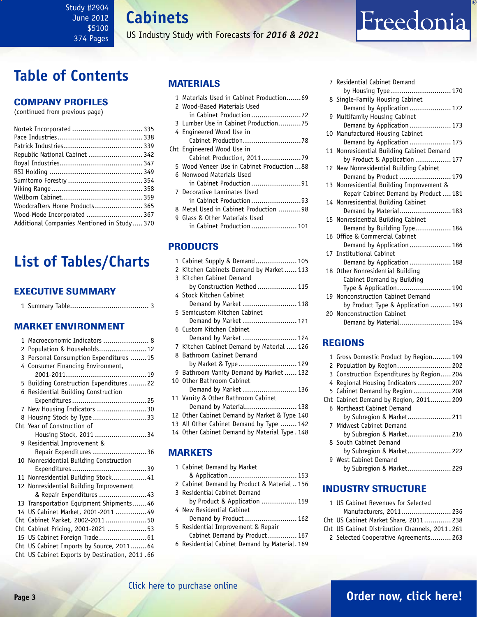**Cabinets**

US Industry Study with Forecasts for *2016 & 2021*

# Freedonia

## <span id="page-2-0"></span>**Table of Contents**

### Company Profiles

(continued from previous page)

| Republic National Cabinet  342              |  |
|---------------------------------------------|--|
|                                             |  |
|                                             |  |
|                                             |  |
|                                             |  |
|                                             |  |
| Woodcrafters Home Products 365              |  |
| Wood-Mode Incorporated  367                 |  |
| Additional Companies Mentioned in Study 370 |  |

## **List of Tables/Charts**

### Executive Summary

1 Summary Table...................................... 3

## Market EnvironmenT

| 1 | Macroeconomic Indicators  8                    |
|---|------------------------------------------------|
| 2 | Population & Households12                      |
|   | 3 Personal Consumption Expenditures  15        |
|   | 4 Consumer Financing Environment,              |
|   |                                                |
|   | 5 Building Construction Expenditures22         |
|   | 6 Residential Building Construction            |
|   |                                                |
|   | 7 New Housing Indicators 30                    |
| 8 | Housing Stock by Type 33                       |
|   | Cht Year of Construction of                    |
|   | Housing Stock, 2011 34                         |
|   | 9 Residential Improvement &                    |
|   | Repair Expenditures 36                         |
|   | 10 Nonresidential Building Construction        |
|   |                                                |
|   | 11 Nonresidential Building Stock41             |
|   | 12 Nonresidential Building Improvement         |
|   | & Repair Expenditures 43                       |
|   | 13 Transportation Equipment Shipments46        |
|   | 14 US Cabinet Market, 2001-2011 49             |
|   | Cht Cabinet Market, 2002-201150                |
|   | Cht Cabinet Pricing, 2001-2021 53              |
|   |                                                |
|   | Cht US Cabinet Imports by Source, 201164       |
|   | Cht US Cabinet Exports by Destination, 2011.66 |

### MATERIALS

|   | 1 Materials Used in Cabinet Production69    |
|---|---------------------------------------------|
|   | 2 Wood-Based Materials Used                 |
|   | in Cabinet Production72                     |
|   | 3 Lumber Use in Cabinet Production75        |
|   | 4 Engineered Wood Use in                    |
|   |                                             |
|   | Cht Engineered Wood Use in                  |
|   |                                             |
|   | 5 Wood Veneer Use in Cabinet Production  88 |
|   | 6 Nonwood Materials Used                    |
|   | in Cabinet Production91                     |
|   | 7 Decorative Laminates Used                 |
|   | in Cabinet Production93                     |
|   | 8 Metal Used in Cabinet Production 98       |
| q | Glass & Other Materials Used                |
|   | in Cabinet Production 101                   |

### **PRODUCTS**

| 1 Cabinet Supply & Demand 105                  |
|------------------------------------------------|
| Kitchen Cabinets Demand by Market 113<br>2     |
| 3 Kitchen Cabinet Demand                       |
| by Construction Method  115                    |
| 4 Stock Kitchen Cabinet                        |
| Demand by Market  118                          |
| 5 Semicustom Kitchen Cabinet                   |
| Demand by Market  121                          |
| 6 Custom Kitchen Cabinet                       |
| Demand by Market  124                          |
| 7 Kitchen Cabinet Demand by Material  126      |
| 8 Bathroom Cabinet Demand                      |
| by Market & Type  129                          |
| 9 Bathroom Vanity Demand by Market 132         |
| 10 Other Bathroom Cabinet                      |
| Demand by Market  136                          |
| 11 Vanity & Other Bathroom Cabinet             |
| Demand by Material 138                         |
| 12 Other Cabinet Demand by Market & Type 140   |
| 13 All Other Cabinet Demand by Type  142       |
| 14 Other Cabinet Demand by Material Type . 148 |
|                                                |

### MARKETS

| 1 Cabinet Demand by Market                    |
|-----------------------------------------------|
|                                               |
| 2 Cabinet Demand by Product & Material 156    |
| 3 Residential Cabinet Demand                  |
| by Product & Application  159                 |
| 4 New Residential Cabinet                     |
| Demand by Product  162                        |
| 5 Residential Improvement & Repair            |
| Cabinet Demand by Product 167                 |
| 6 Residential Cabinet Demand by Material, 169 |
|                                               |

| 7 Residential Cabinet Demand              |
|-------------------------------------------|
| by Housing Type  170                      |
| 8 Single-Family Housing Cabinet           |
| Demand by Application  172                |
| 9 Multifamily Housing Cabinet             |
| Demand by Application  173                |
| 10 Manufactured Housing Cabinet           |
| Demand by Application  175                |
| 11 Nonresidential Building Cabinet Demand |
| by Product & Application  177             |
| 12 New Nonresidential Building Cabinet    |
| Demand by Product  179                    |
| 13 Nonresidential Building Improvement &  |
| Repair Cabinet Demand by Product  181     |
| 14 Nonresidential Building Cabinet        |
| Demand by Material 183                    |
| 15 Nonresidential Building Cabinet        |
| Demand by Building Type 184               |
| 16 Office & Commercial Cabinet            |
| Demand by Application  186                |
| 17 Institutional Cabinet                  |
| Demand by Application  188                |
| 18 Other Nonresidential Building          |
| Cabinet Demand by Building                |
| Type & Application 190                    |
| 19 Nonconstruction Cabinet Demand         |
| by Product Type & Application  193        |
| 20 Nonconstruction Cabinet                |
| Demand by Material 194                    |

## REGIONS

| 1 Gross Domestic Product by Region 199   |
|------------------------------------------|
| 2 Population by Region 202               |
| 3 Construction Expenditures by Region204 |
| 4 Regional Housing Indicators  207       |
| 5 Cabinet Demand by Region  208          |
| Cht Cabinet Demand by Region, 2011 209   |
| 6 Northeast Cabinet Demand               |
| by Subregion & Market 211                |
| 7 Midwest Cabinet Demand                 |
| by Subregion & Market 216                |
| 8 South Cabinet Demand                   |
| by Subregion & Market 222                |
| 9 West Cabinet Demand                    |
| by Subregion & Market 229                |

### INDUSTRY STRUCTURE

| 1 US Cabinet Revenues for Selected             |  |
|------------------------------------------------|--|
| Manufacturers, 2011 236                        |  |
| Cht US Cabinet Market Share, 2011 238          |  |
| Cht US Cabinet Distribution Channels, 2011.261 |  |
| 2 Selected Cooperative Agreements 263          |  |
|                                                |  |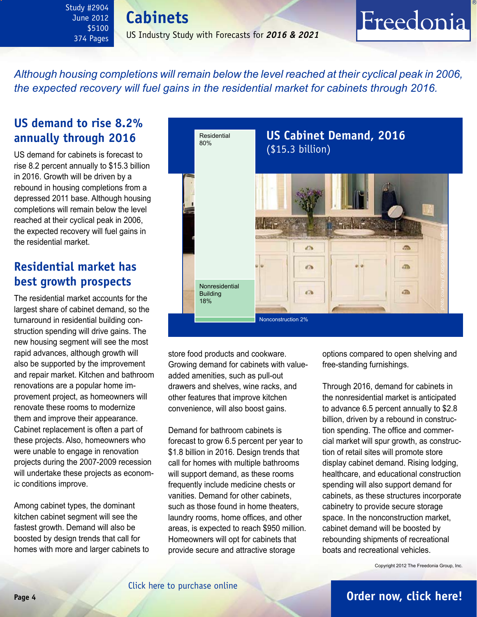**Cabinets** US Industry Study with Forecasts for *2016 & 2021*

*Although housing completions will remain below the level reached at their cyclical peak in 2006, the expected recovery will fuel gains in the residential market for cabinets through 2016.*

## **US demand to rise 8.2% annually through 2016**

<span id="page-3-0"></span>Study #2904 June 2012 \$5100 374 Pages

US demand for cabinets is forecast to rise 8.2 percent annually to \$15.3 billion in 2016. Growth will be driven by a rebound in housing completions from a depressed 2011 base. Although housing completions will remain below the level reached at their cyclical peak in 2006, the expected recovery will fuel gains in the residential market.

## **Residential market has best growth prospects**

The residential market accounts for the largest share of cabinet demand, so the turnaround in residential building construction spending will drive gains. The new housing segment will see the most rapid advances, although growth will also be supported by the improvement and repair market. Kitchen and bathroom renovations are a popular home improvement project, as homeowners will renovate these rooms to modernize them and improve their appearance. Cabinet replacement is often a part of these projects. Also, homeowners who were unable to engage in renovation projects during the 2007-2009 recession will undertake these projects as economic conditions improve.

Among cabinet types, the dominant kitchen cabinet segment will see the fastest growth. Demand will also be boosted by design trends that call for homes with more and larger cabinets to



store food products and cookware. Growing demand for cabinets with valueadded amenities, such as pull-out drawers and shelves, wine racks, and other features that improve kitchen convenience, will also boost gains.

Demand for bathroom cabinets is forecast to grow 6.5 percent per year to \$1.8 billion in 2016. Design trends that call for homes with multiple bathrooms will support demand, as these rooms frequently include medicine chests or vanities. Demand for other cabinets, such as those found in home theaters, laundry rooms, home offices, and other areas, is expected to reach \$950 million. Homeowners will opt for cabinets that provide secure and attractive storage

options compared to open shelving and free-standing furnishings.

Freedonia

Through 2016, demand for cabinets in the nonresidential market is anticipated to advance 6.5 percent annually to \$2.8 billion, driven by a rebound in construction spending. The office and commercial market will spur growth, as construction of retail sites will promote store display cabinet demand. Rising lodging, healthcare, and educational construction spending will also support demand for cabinets, as these structures incorporate cabinetry to provide secure storage space. In the nonconstruction market, cabinet demand will be boosted by rebounding shipments of recreational boats and recreational vehicles.

Copyright 2012 The Freedonia Group, Inc.

## **Page 4 [Order now, click here!](#page-6-0)**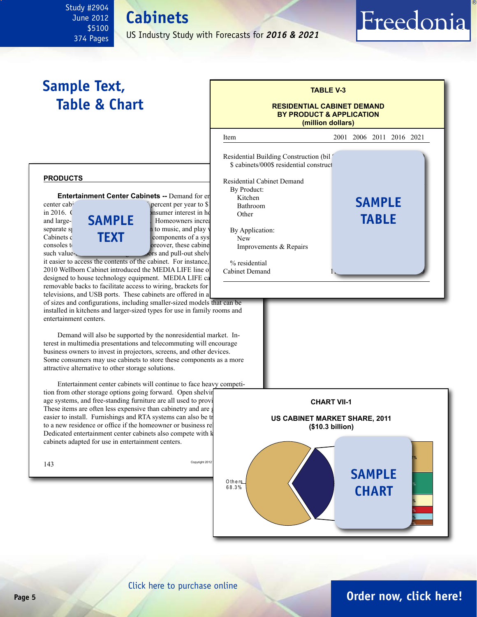#### <span id="page-4-0"></span>Study #2904 June 2012 \$5100 374 Pages **Cabinets**

US Industry Study with Forecasts for *2016 & 2021*

## **Sample Text, Table & Chart**



Freedonia

#### **products**

**Entertainment Center Cabinets --** Demand for entertainment Center Cabinets --

in 2016. Growth will be spin-text in home there interest in home theorem that  $\epsilon$ and large-**SAMPLE** Homeowners increased that separate spaces to watch movies, and play video games. Cabinets c<br>  $\begin{array}{ccc}\n\bullet & \bullet \\
\bullet & \bullet\n\end{array}$   $\begin{array}{ccc}\n\bullet & \bullet \\
\bullet & \bullet\n\end{array}$   $\begin{array}{ccc}\n\bullet & \bullet \\
\bullet & \bullet\n\end{array}$   $\begin{array}{ccc}\n\bullet & \bullet \\
\bullet & \bullet\n\end{array}$ consoles to DVDs and game discussed by a have discover, these cabinets can have discs. Moreover, these cabinets can have discussed by  $\alpha$ **text**

such value- $\sim$  doors and pull-out shelves it easier to access the contents of the cabinet. For instance, 2010 Wellborn Cabinet introduced the MEDIA LIFE line of designed to house technology equipment. MEDIA LIFE ca removable backs to facilitate access to wiring, brackets for

televisions, and USB ports. These cabinets are offered in a of sizes and configurations, including smaller-sized models that can be installed in kitchens and larger-sized types for use in family rooms and entertainment centers.

Demand will also be supported by the nonresidential market. Interest in multimedia presentations and telecommuting will encourage business owners to invest in projectors, screens, and other devices. Some consumers may use cabinets to store these components as a more attractive alternative to other storage solutions.

Entertainment center cabinets will continue to face heavy competition from other storage options going forward. Open shelving age systems, and free-standing furniture are all used to provide These items are often less expensive than cabinetry and are g easier to install. Furnishings and RTA systems can also be transported to the transported vertex of  $\alpha$ to a new residence or office if the homeowner or business re Dedicated entertainment center cabinets also compete with k cabinets adapted for use in entertainment centers.





[Click here to purchase online](http://www.freedoniagroup.com/DocumentDetails.aspx?Referrerid=FM-Bro&StudyID=2904)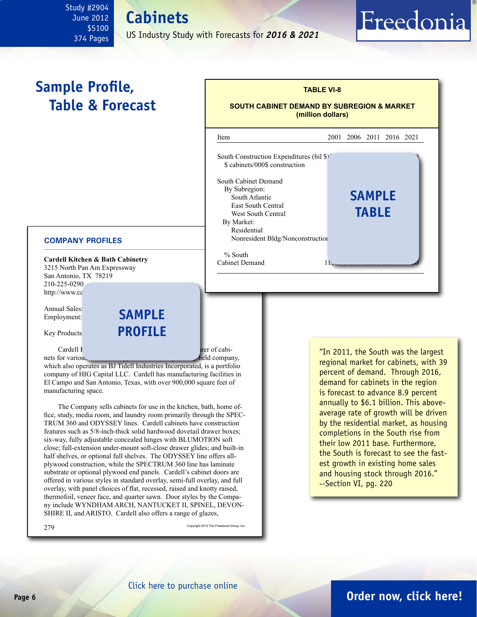### <span id="page-5-0"></span>Study #2904 June 2012 \$5100 374 Pages

**Cabinets**

US Industry Study with Forecasts for *2016 & 2021*

## **Sample Profile, Table & Forecast**

#### **COMPANY PROFILES**

**Cardell Kitchen & Bath Cabinetry** 3215 North Pan Am Expressway San Antonio, TX 78219 210-225-0290 http://www.ca

Annual Sales: Employment:

Key Products

Cardell K<sub>itch</sub>en and Bath Cardell K<sub>itch</sub>en and Bath Cabinetry is a manufacturer of cabi-

nets for various residential applications. The privately held company, which also operates as BJ Tidell Industries Incorporated, is a portfolio company of HIG Capital LLC. Cardell has manufacturing facilities in El Campo and San Antonio, Texas, with over 900,000 square feet of manufacturing space.

**sample**

**profile**

The Company sells cabinets for use in the kitchen, bath, home office, study, media room, and laundry room primarily through the SPEC-TRUM 360 and ODYSSEY lines. Cardell cabinets have construction features such as 5/8-inch-thick solid hardwood dovetail drawer boxes; six-way, fully adjustable concealed hinges with BLUMOTION soft close; full-extension under-mount soft-close drawer glides; and built-in half shelves, or optional full shelves. The ODYSSEY line offers allplywood construction, while the SPECTRUM 360 line has laminate substrate or optional plywood end panels. Cardell's cabinet doors are offered in various styles in standard overlay, semi-full overlay, and full overlay, with panel choices of flat, recessed, raised and knotty raised, thermofoil, veneer face, and quarter sawn. Door styles by the Company include WYNDHAM ARCH, NANTUCKET II, SPINEL, DEVON-SHIRE II, and ARISTO. Cardell also offers a range of glazes,

| Item                                                                                                                                                                               | 2001 2006 2011 2016 2021 |                               |  |
|------------------------------------------------------------------------------------------------------------------------------------------------------------------------------------|--------------------------|-------------------------------|--|
| South Construction Expenditures (bil $\frac{1}{2}$ )<br>\$ cabinets/000\$ construction                                                                                             |                          |                               |  |
| South Cabinet Demand<br>By Subregion:<br>South Atlantic<br><b>East South Central</b><br><b>West South Central</b><br>By Market:<br>Residential<br>Nonresident Bldg/Nonconstruction |                          | <b>SAMPLE</b><br><b>TABLE</b> |  |
| $%$ South                                                                                                                                                                          |                          |                               |  |

**TABLE VI-8**

Freedonia

"In 2011, the South was the largest regional market for cabinets, with 39 percent of demand. Through 2016, demand for cabinets in the region is forecast to advance 8.9 percent annually to \$6.1 billion. This aboveaverage rate of growth will be driven by the residential market, as housing completions in the South rise from their low 2011 base. Furthermore, the South is forecast to see the fastest growth in existing home sales and housing stock through 2016." --Section VI, pg. 220

## **Page 6 [Order now, click here!](#page-6-0)**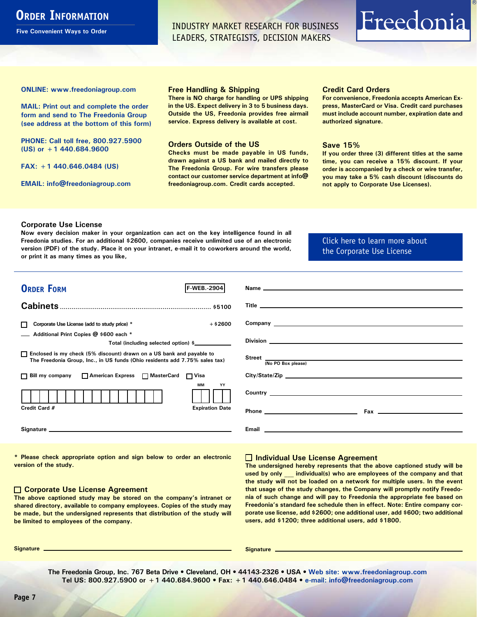## <span id="page-6-0"></span>**ORDER INFORMATION**

**Five Convenient Ways to Order**

INDUSTRY MARKET RESEARCH FOR BUSINESS LEADERS, STRATEGISTS, DECISION MAKERS

# Freedonia

**ONLINE: [www.freedoniagroup.com](http://www.freedoniagroup.com/DocumentDetails.aspx?Referrerid=FM-Bro&StudyID=2904)**

**MAIL: Print out and complete the order form and send to The Freedonia Group (see address at the bottom of this form)**

**PHONE: Call toll free, 800.927.5900 (US) or +1 440.684.9600**

**FAX: +1 440.646.0484 (US)**

**EMAIL: [info@freedoniagroup.com](mailto:info@freedoniagroup.com)**

#### **Free Handling & Shipping**

**There is NO charge for handling or UPS shipping in the US. Expect delivery in 3 to 5 business days. Outside the US, Freedonia provides free airmail service. Express delivery is available at cost.**

#### **Orders Outside of the US**

**Checks must be made payable in US funds, drawn against a US bank and mailed directly to The Freedonia Group. For wire transfers please contact our customer service department at info@ freedoniagroup.com. Credit cards accepted.**

#### **Credit Card Orders**

**For convenience, Freedonia accepts American Express, MasterCard or Visa. Credit card purchases must include account number, expiration date and authorized signature.**

#### **Save 15%**

**If you order three (3) different titles at the same time, you can receive a 15% discount. If your order is accompanied by a check or wire transfer, you may take a 5% cash discount (discounts do not apply to Corporate Use Licenses).**

#### **Corporate Use License**

**Now every decision maker in your organization can act on the key intelligence found in all Freedonia studies. For an additional \$2600, companies receive unlimited use of an electronic version (PDF) of the study. Place it on your intranet, e-mail it to coworkers around the world, or print it as many times as you like,** 

### [Click here to learn more about](http://www.freedoniagroup.com/pdf/FreedoniaCULBro.pdf)  [the Corporate Use License](http://www.freedoniagroup.com/pdf/FreedoniaCULBro.pdf)

| <b>ORDER FORM</b><br><b>IF WEB. 2904</b>                                                                                                              |                                                                                                                                                                                                                                      |
|-------------------------------------------------------------------------------------------------------------------------------------------------------|--------------------------------------------------------------------------------------------------------------------------------------------------------------------------------------------------------------------------------------|
|                                                                                                                                                       |                                                                                                                                                                                                                                      |
|                                                                                                                                                       |                                                                                                                                                                                                                                      |
|                                                                                                                                                       |                                                                                                                                                                                                                                      |
| $+$ \$2600<br>Corporate Use License (add to study price) *<br>П                                                                                       |                                                                                                                                                                                                                                      |
| Additional Print Copies @ \$600 each *                                                                                                                |                                                                                                                                                                                                                                      |
| Total (including selected option) \$                                                                                                                  | Division <b>Division Division Division Division Division Division Division Division Division Division Division Division Division Division Division Division Division Division Division Div</b>                                       |
| □ Enclosed is my check (5% discount) drawn on a US bank and payable to<br>The Freedonia Group, Inc., in US funds (Ohio residents add 7.75% sales tax) | Street (No PO Box please)                                                                                                                                                                                                            |
|                                                                                                                                                       |                                                                                                                                                                                                                                      |
| □ Bill my company □ American Express □ MasterCard □ Visa                                                                                              |                                                                                                                                                                                                                                      |
| MМ<br>YY                                                                                                                                              |                                                                                                                                                                                                                                      |
|                                                                                                                                                       |                                                                                                                                                                                                                                      |
| Credit Card #<br><b>Expiration Date</b>                                                                                                               |                                                                                                                                                                                                                                      |
|                                                                                                                                                       | Email <b>Executive Contract Contract Contract Contract Contract Contract Contract Contract Contract Contract Contract Contract Contract Contract Contract Contract Contract Contract Contract Contract Contract Contract Contrac</b> |
|                                                                                                                                                       |                                                                                                                                                                                                                                      |

**\* Please check appropriate option and sign below to order an electronic version of the study.**

#### **Corporate Use License Agreement**

**The above captioned study may be stored on the company's intranet or shared directory, available to company employees. Copies of the study may be made, but the undersigned represents that distribution of the study will be limited to employees of the company.**

#### **Individual Use License Agreement**

**The undersigned hereby represents that the above captioned study will be used by only \_\_\_ individual(s) who are employees of the company and that the study will not be loaded on a network for multiple users. In the event that usage of the study changes, the Company will promptly notify Freedonia of such change and will pay to Freedonia the appropriate fee based on Freedonia's standard fee schedule then in effect. Note: Entire company corporate use license, add \$2600; one additional user, add \$600; two additional users, add \$1200; three additional users, add \$1800.**

**Signature Signature**

**The Freedonia Group, Inc. 767 Beta Drive • Cleveland, OH • 44143-2326 • USA • [Web site: www.freedoniagroup.com](http://www.freedoniagroup.com/Home.aspx?ReferrerId=FM-Bro) Tel US: 800.927.5900 or +1 440.684.9600 • Fax: +1 440.646.0484 • [e-mail: info@freedoniagroup.com](mailto:info@freedoniagroup.com)**